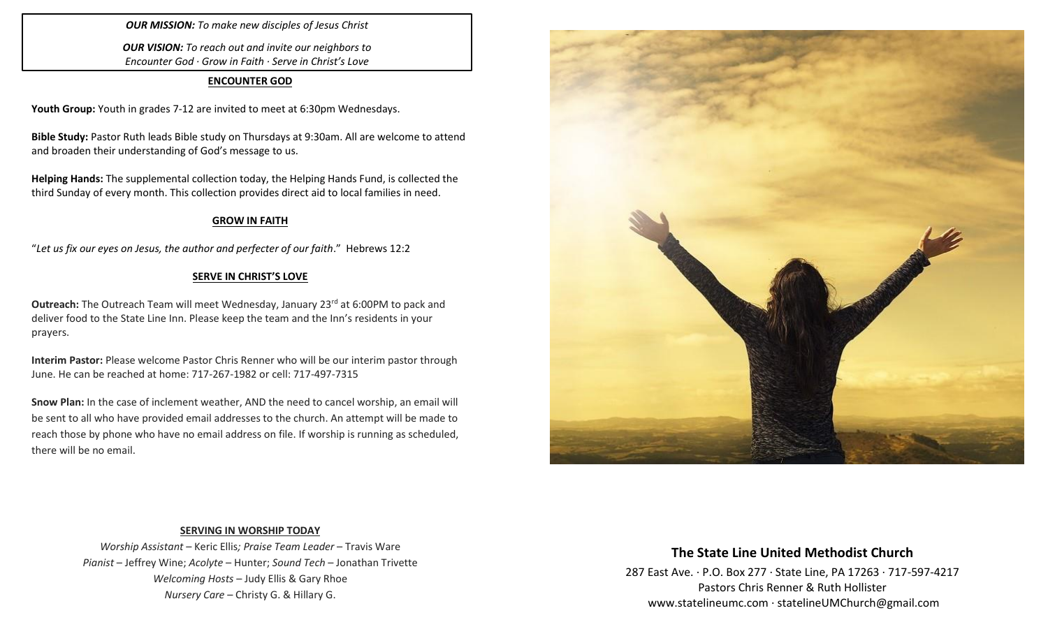# *OUR MISSION: To make new disciples of Jesus Christ*

*OUR VISION: To reach out and invite our neighbors to Encounter God · Grow in Faith · Serve in Christ's Love*

#### **ENCOUNTER GOD**

**Youth Group:** Youth in grades 7-12 are invited to meet at 6:30pm Wednesdays.

**Bible Study:** Pastor Ruth leads Bible study on Thursdays at 9:30am. All are welcome to attend and broaden their understanding of God's message to us.

**Helping Hands:** The supplemental collection today, the Helping Hands Fund, is collected the third Sunday of every month. This collection provides direct aid to local families in need.

## **GROW IN FAITH**

"*Let us fix our eyes on Jesus, the author and perfecter of our faith*." Hebrews 12:2

# **SERVE IN CHRIST'S LOVE**

**Outreach:** The Outreach Team will meet Wednesday, January 23<sup>rd</sup> at 6:00PM to pack and deliver food to the State Line Inn. Please keep the team and the Inn's residents in your prayers.

**Interim Pastor:** Please welcome Pastor Chris Renner who will be our interim pastor through June. He can be reached at home: 717-267-1982 or cell: 717-497-7315

**Snow Plan:** In the case of inclement weather, AND the need to cancel worship, an email will be sent to all who have provided email addresses to the church. An attempt will be made to reach those by phone who have no email address on file. If worship is running as scheduled, there will be no email.



## **SERVING IN WORSHIP TODAY**

*Worship Assistant* – Keric Ellis*; Praise Team Leader* – Travis Ware *Pianist* – Jeffrey Wine; *Acolyte* – Hunter; *Sound Tech* – Jonathan Trivette *Welcoming Hosts* – Judy Ellis & Gary Rhoe *Nursery Care* – Christy G. & Hillary G.

# **The State Line United Methodist Church**

287 East Ave. · P.O. Box 277 · State Line, PA 17263 · 717-597-4217 Pastors Chris Renner & Ruth Hollister [www.statelineumc.com](http://www.statelineumc.com/) · statelineUMChurch@gmail.com